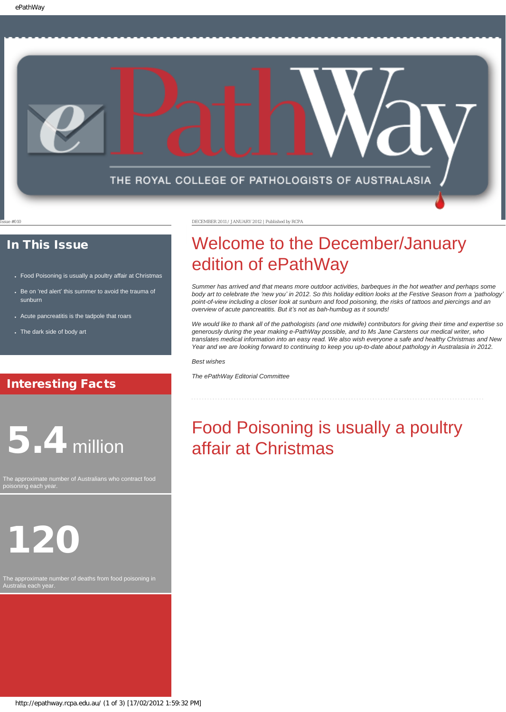

### In This Issue

- [Food Poisoning is usually a poultry affair at Christmas](#page-0-0)
- Be on 'red alert' this summer to avoid the trauma of [sunburn](#page-1-0)
- [Acute pancreatitis is the tadpole that roars](#page-1-1)
- [The dark side of body art](#page-2-0)

## Interesting Facts

# <span id="page-0-0"></span>5.4 million

The approximate number of Australians who contract food poisoning each year.

# 120

The approximate number of deaths from food poisoning in Australia each year.

Issue #010 DECEMBER 2011 / JANUARY 2012 | Published by RCPA

# Welcome to the December/January edition of ePathWay

*Summer has arrived and that means more outdoor activities, barbeques in the hot weather and perhaps some body art to celebrate the 'new you' in 2012. So this holiday edition looks at the Festive Season from a 'pathology' point-of-view including a closer look at sunburn and food poisoning, the risks of tattoos and piercings and an overview of acute pancreatitis. But it's not as bah-humbug as it sounds!*

*We would like to thank all of the pathologists (and one midwife) contributors for giving their time and expertise so generously during the year making e-PathWay possible, and to Ms Jane Carstens our medical writer, who translates medical information into an easy read. We also wish everyone a safe and healthy Christmas and New Year and we are looking forward to continuing to keep you up-to-date about pathology in Australasia in 2012.*

*Best wishes*

*The ePathWay Editorial Committee*

# Food Poisoning is usually a poultry affair at Christmas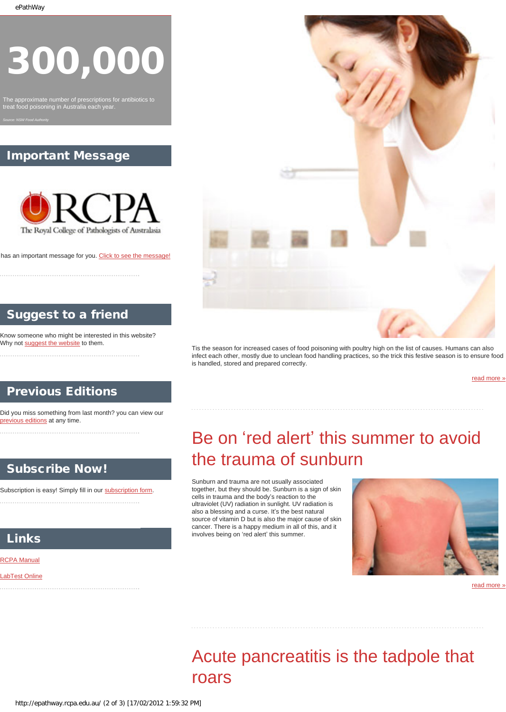# 300,000

The approximate number of prescriptions for antibiotics to treat food poisoning in Australia each year.

*Source: NSW Food Authority*

## Important Message



has an important message for you. [Click to see the message!](http://epathway.rcpa.edu.au/notice.html)

# Suggest to a friend

Know someone who might be interested in this website? Why not [suggest the website](mailto:?Subject=I%20think%20you%20should%20read%20this%20Newsletter=
http://epathway.rcpa.edu.au/index.html) to them.

## Previous Editions

<span id="page-1-0"></span>Did you miss something from last month? you can view our [previous editions](http://epathway.rcpa.edu.au/previous.html) at any time.

## Subscribe Now!

Subscription is easy! Simply fill in our [subscription form](http://epathway.rcpa.edu.au/subscription.html).

## Links

#### [RCPA Manual](http://rcpamanual.edu.au/)

#### [LabTest Online](http://www.labtestsonline.org.au/)

<span id="page-1-1"></span>



Tis the season for increased cases of food poisoning with poultry high on the list of causes. Humans can also infect each other, mostly due to unclean food handling practices, so the trick this festive season is to ensure food is handled, stored and prepared correctly.

[read more »](#page-3-0)

# Be on 'red alert' this summer to avoid the trauma of sunburn

Sunburn and trauma are not usually associated together, but they should be. Sunburn is a sign of skin cells in trauma and the body's reaction to the ultraviolet (UV) radiation in sunlight. UV radiation is also a blessing and a curse. It's the best natural source of vitamin D but is also the major cause of skin cancer. There is a happy medium in all of this, and it involves being on 'red alert' this summer.



[read more »](#page-5-0)

## Acute pancreatitis is the tadpole that roars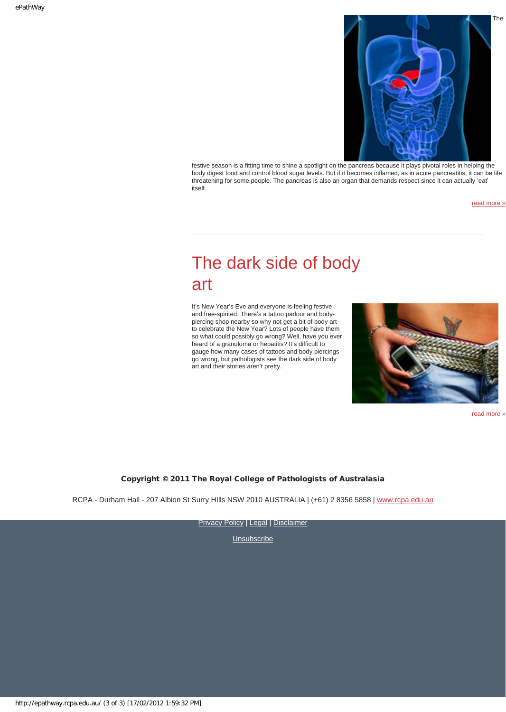

festive season is a fitting time to shine a spotlight on the pancreas because it plays pivotal roles in helping the body digest food and control blood sugar levels. But if it becomes inflamed, as in acute pancreatitis, it can be life threatening for some people. The pancreas is also an organ that demands respect since it can actually 'eat' itself.

[read more »](#page-7-0)

## <span id="page-2-0"></span>The dark side of body art

It's New Year's Eve and everyone is feeling festive and free-spirited. There's a tattoo parlour and bodypiercing shop nearby so why not get a bit of body art to celebrate the New Year? Lots of people have them so what could possibly go wrong? Well, have you ever heard of a granuloma or hepatitis? It's difficult to gauge how many cases of tattoos and body piercings go wrong, but pathologists see the dark side of body art and their stories aren't pretty.



read more

#### Copyright © 2011 The Royal College of Pathologists of Australasia

RCPA - Durham Hall - 207 Albion St Surry Hills NSW 2010 AUSTRALIA | (+61) 2 8356 5858 | [www.rcpa.edu.au](http://www.rcpa.edu.au/)

[Privacy Policy](http://www.rcpa.edu.au/Privacy.htm) | [Legal](http://www.rcpa.edu.au/Legal.htm) | Disclaimer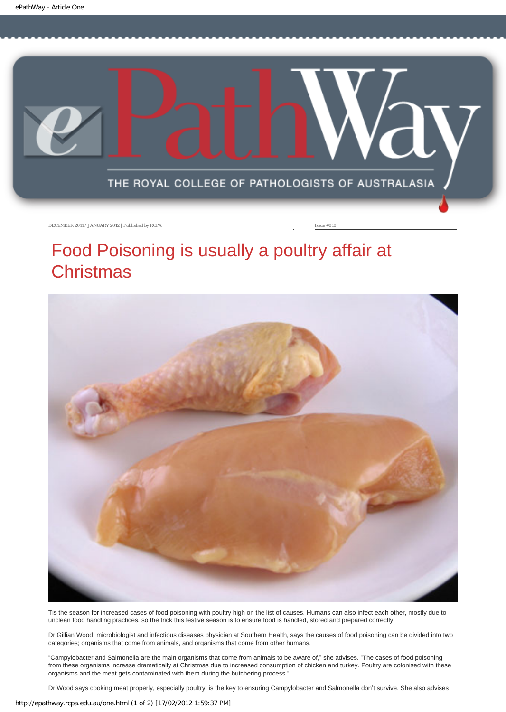<span id="page-3-0"></span>

# Food Poisoning is usually a poultry affair at **Christmas**



Tis the season for increased cases of food poisoning with poultry high on the list of causes. Humans can also infect each other, mostly due to unclean food handling practices, so the trick this festive season is to ensure food is handled, stored and prepared correctly.

Dr Gillian Wood, microbiologist and infectious diseases physician at Southern Health, says the causes of food poisoning can be divided into two categories; organisms that come from animals, and organisms that come from other humans.

"Campylobacter and Salmonella are the main organisms that come from animals to be aware of," she advises. "The cases of food poisoning from these organisms increase dramatically at Christmas due to increased consumption of chicken and turkey. Poultry are colonised with these organisms and the meat gets contaminated with them during the butchering process."

Dr Wood says cooking meat properly, especially poultry, is the key to ensuring Campylobacter and Salmonella don't survive. She also advises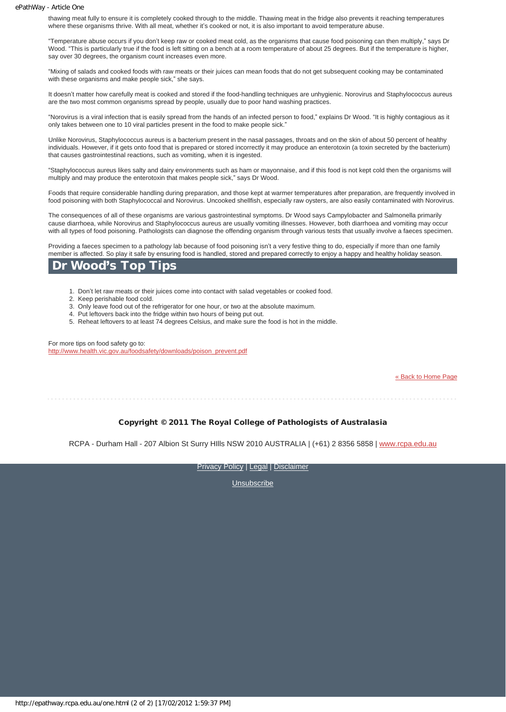thawing meat fully to ensure it is completely cooked through to the middle. Thawing meat in the fridge also prevents it reaching temperatures where these organisms thrive. With all meat, whether it's cooked or not, it is also important to avoid temperature abuse.

"Temperature abuse occurs if you don't keep raw or cooked meat cold, as the organisms that cause food poisoning can then multiply," says Dr Wood. "This is particularly true if the food is left sitting on a bench at a room temperature of about 25 degrees. But if the temperature is higher, say over 30 degrees, the organism count increases even more.

"Mixing of salads and cooked foods with raw meats or their juices can mean foods that do not get subsequent cooking may be contaminated with these organisms and make people sick," she says.

It doesn't matter how carefully meat is cooked and stored if the food-handling techniques are unhygienic. Norovirus and Staphylococcus aureus are the two most common organisms spread by people, usually due to poor hand washing practices.

"Norovirus is a viral infection that is easily spread from the hands of an infected person to food," explains Dr Wood. "It is highly contagious as it only takes between one to 10 viral particles present in the food to make people sick."

Unlike Norovirus, Staphylococcus aureus is a bacterium present in the nasal passages, throats and on the skin of about 50 percent of healthy individuals. However, if it gets onto food that is prepared or stored incorrectly it may produce an enterotoxin (a toxin secreted by the bacterium) that causes gastrointestinal reactions, such as vomiting, when it is ingested.

"Staphylococcus aureus likes salty and dairy environments such as ham or mayonnaise, and if this food is not kept cold then the organisms will multiply and may produce the enterotoxin that makes people sick," says Dr Wood.

Foods that require considerable handling during preparation, and those kept at warmer temperatures after preparation, are frequently involved in food poisoning with both Staphylococcal and Norovirus. Uncooked shellfish, especially raw oysters, are also easily contaminated with Norovirus.

The consequences of all of these organisms are various gastrointestinal symptoms. Dr Wood says Campylobacter and Salmonella primarily cause diarrhoea, while Norovirus and Staphylococcus aureus are usually vomiting illnesses. However, both diarrhoea and vomiting may occur with all types of food poisoning. Pathologists can diagnose the offending organism through various tests that usually involve a faeces specimen.

Providing a faeces specimen to a pathology lab because of food poisoning isn't a very festive thing to do, especially if more than one family member is affected. So play it safe by ensuring food is handled, stored and prepared correctly to enjoy a happy and healthy holiday season.

### Wood's Top Tips

- 1. Don't let raw meats or their juices come into contact with salad vegetables or cooked food.
- 2. Keep perishable food cold.
- 3. Only leave food out of the refrigerator for one hour, or two at the absolute maximum.
- 4. Put leftovers back into the fridge within two hours of being put out.
- 5. Reheat leftovers to at least 74 degrees Celsius, and make sure the food is hot in the middle.

For more tips on food safety go to: [http://www.health.vic.gov.au/foodsafety/downloads/poison\\_prevent.pdf](http://www.health.vic.gov.au/foodsafety/downloads/poison_prevent.pdf)

[« Back to Home Page](http://epathway.rcpa.edu.au/index.html)

#### Copyright © 2011 The Royal College of Pathologists of Australasia

RCPA - Durham Hall - 207 Albion St Surry HIlls NSW 2010 AUSTRALIA | (+61) 2 8356 5858 | [www.rcpa.edu.au](http://www.rcpa.edu.au/)

[Privacy Policy](http://www.rcpa.edu.au/Privacy.htm) | [Legal](http://www.rcpa.edu.au/Legal.htm) | [Disclaimer](http://www.rcpa.edu.au/Disclaimer.htm)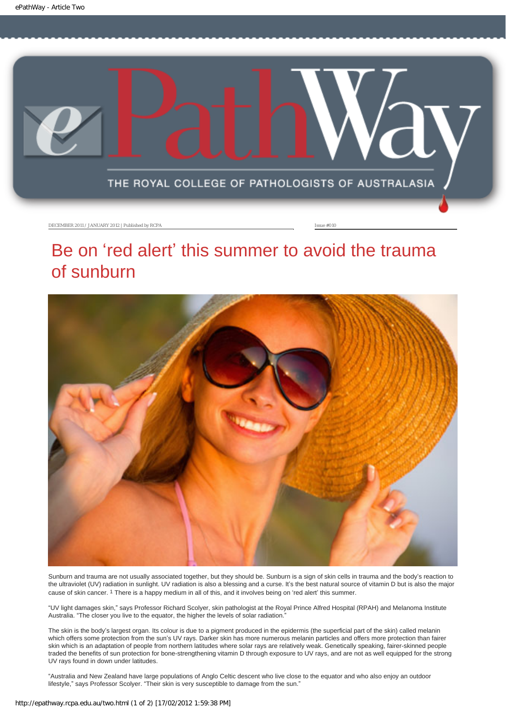<span id="page-5-0"></span>

## Be on 'red alert' this summer to avoid the trauma of sunburn



Sunburn and trauma are not usually associated together, but they should be. Sunburn is a sign of skin cells in trauma and the body's reaction to the ultraviolet (UV) radiation in sunlight. UV radiation is also a blessing and a curse. It's the best natural source of vitamin D but is also the major cause of skin cancer. 1 There is a happy medium in all of this, and it involves being on 'red alert' this summer.

"UV light damages skin," says Professor Richard Scolyer, skin pathologist at the Royal Prince Alfred Hospital (RPAH) and Melanoma Institute Australia. "The closer you live to the equator, the higher the levels of solar radiation."

The skin is the body's largest organ. Its colour is due to a pigment produced in the epidermis (the superficial part of the skin) called melanin which offers some protection from the sun's UV rays. Darker skin has more numerous melanin particles and offers more protection than fairer skin which is an adaptation of people from northern latitudes where solar rays are relatively weak. Genetically speaking, fairer-skinned people traded the benefits of sun protection for bone-strengthening vitamin D through exposure to UV rays, and are not as well equipped for the strong UV rays found in down under latitudes.

"Australia and New Zealand have large populations of Anglo Celtic descent who live close to the equator and who also enjoy an outdoor lifestyle," says Professor Scolyer. "Their skin is very susceptible to damage from the sun."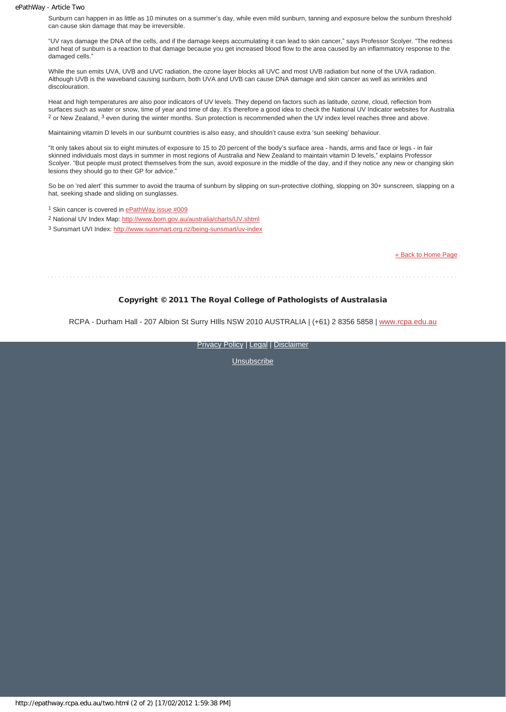#### ePathWay - Article Two

Sunburn can happen in as little as 10 minutes on a summer's day, while even mild sunburn, tanning and exposure below the sunburn threshold can cause skin damage that may be irreversible.

"UV rays damage the DNA of the cells, and if the damage keeps accumulating it can lead to skin cancer," says Professor Scolyer. "The redness and heat of sunburn is a reaction to that damage because you get increased blood flow to the area caused by an inflammatory response to the damaged cells."

While the sun emits UVA, UVB and UVC radiation, the ozone laver blocks all UVC and most UVB radiation but none of the UVA radiation. Although UVB is the waveband causing sunburn, both UVA and UVB can cause DNA damage and skin cancer as well as wrinkles and discolouration.

Heat and high temperatures are also poor indicators of UV levels. They depend on factors such as latitude, ozone, cloud, reflection from surfaces such as water or snow, time of year and time of day. It's therefore a good idea to check the National UV Indicator websites for Australia 2 or New Zealand, 3 even during the winter months. Sun protection is recommended when the UV index level reaches three and above.

Maintaining vitamin D levels in our sunburnt countries is also easy, and shouldn't cause extra 'sun seeking' behaviour.

"It only takes about six to eight minutes of exposure to 15 to 20 percent of the body's surface area - hands, arms and face or legs - in fair skinned individuals most days in summer in most regions of Australia and New Zealand to maintain vitamin D levels," explains Professor Scolyer. "But people must protect themselves from the sun, avoid exposure in the middle of the day, and if they notice any new or changing skin lesions they should go to their GP for advice."

So be on 'red alert' this summer to avoid the trauma of sunburn by slipping on sun-protective clothing, slopping on 30+ sunscreen, slapping on a hat, seeking shade and sliding on sunglasses.

1 Skin cancer is covered in [ePathWay issue #009](http://epathway.rcpa.edu.au/previous/009_1111.pdf)

2 National UV Index Map:<http://www.bom.gov.au/australia/charts/UV.shtml>

3 Sunsmart UVI Index:<http://www.sunsmart.org.nz/being-sunsmart/uv-index>

[« Back to Home Page](http://epathway.rcpa.edu.au/index.html)

#### Copyright © 2011 The Royal College of Pathologists of Australasia

RCPA - Durham Hall - 207 Albion St Surry HIlls NSW 2010 AUSTRALIA | (+61) 2 8356 5858 | [www.rcpa.edu.au](http://www.rcpa.edu.au/)

**[Privacy Policy](http://www.rcpa.edu.au/Privacy.htm) | [Legal](http://www.rcpa.edu.au/Legal.htm) | Disclaimer**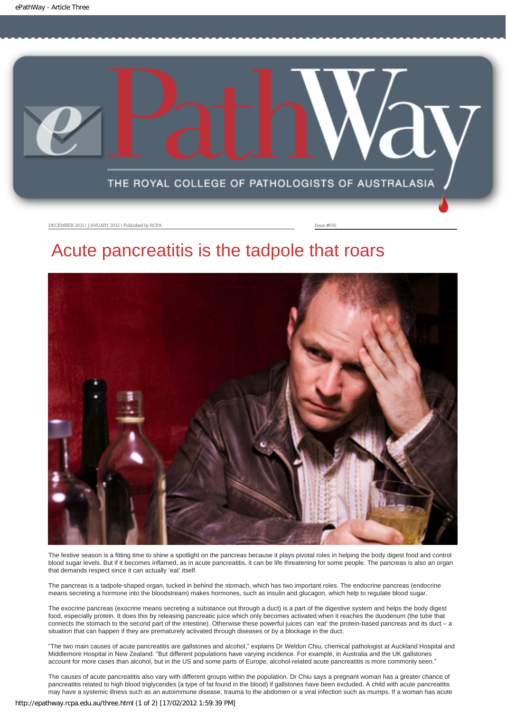<span id="page-7-0"></span>

## Acute pancreatitis is the tadpole that roars



The festive season is a fitting time to shine a spotlight on the pancreas because it plays pivotal roles in helping the body digest food and control blood sugar levels. But if it becomes inflamed, as in acute pancreatitis, it can be life threatening for some people. The pancreas is also an organ that demands respect since it can actually 'eat' itself.

The pancreas is a tadpole-shaped organ, tucked in behind the stomach, which has two important roles. The endocrine pancreas (endocrine means secreting a hormone into the bloodstream) makes hormones, such as insulin and glucagon, which help to regulate blood sugar.

The exocrine pancreas (exocrine means secreting a substance out through a duct) is a part of the digestive system and helps the body digest food, especially protein. It does this by releasing pancreatic juice which only becomes activated when it reaches the duodenum (the tube that connects the stomach to the second part of the intestine). Otherwise these powerful juices can 'eat' the protein-based pancreas and its duct – a situation that can happen if they are prematurely activated through diseases or by a blockage in the duct.

"The two main causes of acute pancreatitis are gallstones and alcohol," explains Dr Weldon Chiu, chemical pathologist at Auckland Hospital and Middlemore Hospital in New Zealand. "But different populations have varying incidence. For example, in Australia and the UK gallstones account for more cases than alcohol, but in the US and some parts of Europe, alcohol-related acute pancreatitis is more commonly seen."

The causes of acute pancreatitis also vary with different groups within the population. Dr Chiu says a pregnant woman has a greater chance of pancreatitis related to high blood triglycerides (a type of fat found in the blood) if gallstones have been excluded. A child with acute pancreatitis may have a systemic illness such as an autoimmune disease, trauma to the abdomen or a viral infection such as mumps. If a woman has acute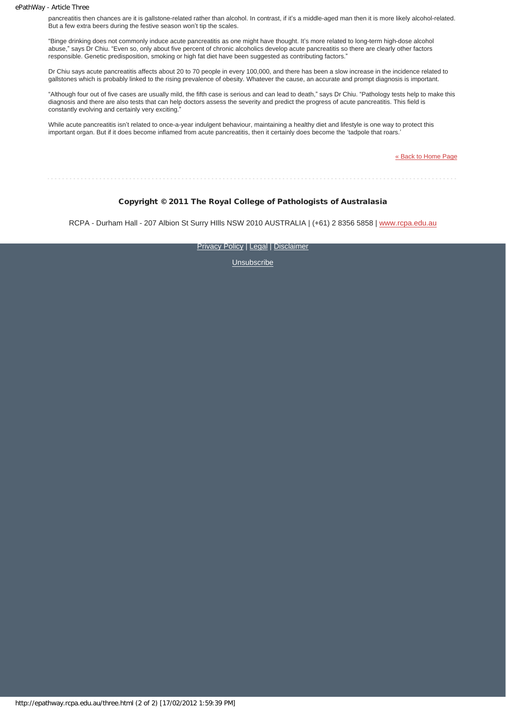#### ePathWay - Article Three

pancreatitis then chances are it is gallstone-related rather than alcohol. In contrast, if it's a middle-aged man then it is more likely alcohol-related. But a few extra beers during the festive season won't tip the scales.

"Binge drinking does not commonly induce acute pancreatitis as one might have thought. It's more related to long-term high-dose alcohol abuse," says Dr Chiu. "Even so, only about five percent of chronic alcoholics develop acute pancreatitis so there are clearly other factors responsible. Genetic predisposition, smoking or high fat diet have been suggested as contributing factors."

Dr Chiu says acute pancreatitis affects about 20 to 70 people in every 100,000, and there has been a slow increase in the incidence related to gallstones which is probably linked to the rising prevalence of obesity. Whatever the cause, an accurate and prompt diagnosis is important.

"Although four out of five cases are usually mild, the fifth case is serious and can lead to death," says Dr Chiu. "Pathology tests help to make this diagnosis and there are also tests that can help doctors assess the severity and predict the progress of acute pancreatitis. This field is constantly evolving and certainly very exciting."

While acute pancreatitis isn't related to once-a-year indulgent behaviour, maintaining a healthy diet and lifestyle is one way to protect this important organ. But if it does become inflamed from acute pancreatitis, then it certainly does become the 'tadpole that roars.'

[« Back to Home Page](http://epathway.rcpa.edu.au/index.html)

#### Copyright © 2011 The Royal College of Pathologists of Australasia

RCPA - Durham Hall - 207 Albion St Surry HIlls NSW 2010 AUSTRALIA | (+61) 2 8356 5858 | [www.rcpa.edu.au](http://www.rcpa.edu.au/)

[Privacy Policy](http://www.rcpa.edu.au/Privacy.htm) | [Legal](http://www.rcpa.edu.au/Legal.htm) | [Disclaimer](http://www.rcpa.edu.au/Disclaimer.htm)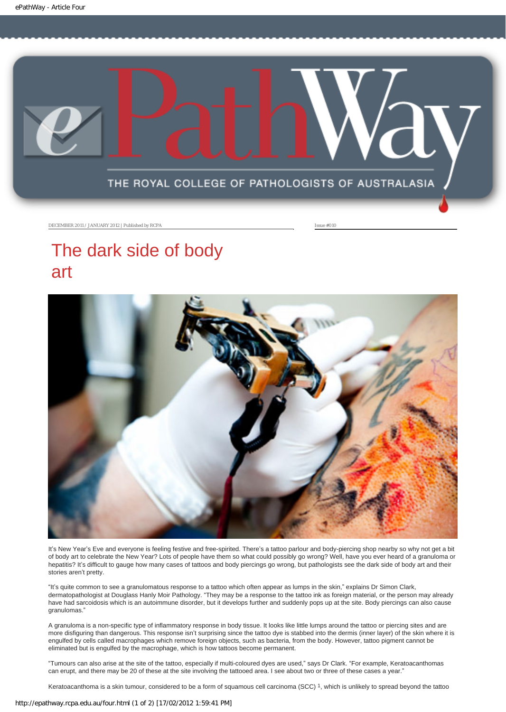<span id="page-9-0"></span>

# The dark side of body art



It's New Year's Eve and everyone is feeling festive and free-spirited. There's a tattoo parlour and body-piercing shop nearby so why not get a bit of body art to celebrate the New Year? Lots of people have them so what could possibly go wrong? Well, have you ever heard of a granuloma or hepatitis? It's difficult to gauge how many cases of tattoos and body piercings go wrong, but pathologists see the dark side of body art and their stories aren't pretty.

"It's quite common to see a granulomatous response to a tattoo which often appear as lumps in the skin," explains Dr Simon Clark, dermatopathologist at Douglass Hanly Moir Pathology. "They may be a response to the tattoo ink as foreign material, or the person may already have had sarcoidosis which is an autoimmune disorder, but it develops further and suddenly pops up at the site. Body piercings can also cause granulomas."

A granuloma is a non-specific type of inflammatory response in body tissue. It looks like little lumps around the tattoo or piercing sites and are more disfiguring than dangerous. This response isn't surprising since the tattoo dye is stabbed into the dermis (inner layer) of the skin where it is engulfed by cells called macrophages which remove foreign objects, such as bacteria, from the body. However, tattoo pigment cannot be eliminated but is engulfed by the macrophage, which is how tattoos become permanent.

"Tumours can also arise at the site of the tattoo, especially if multi-coloured dyes are used," says Dr Clark. "For example, Keratoacanthomas can erupt, and there may be 20 of these at the site involving the tattooed area. I see about two or three of these cases a year."

Keratoacanthoma is a skin tumour, considered to be a form of squamous cell carcinoma (SCC) 1, which is unlikely to spread beyond the tattoo